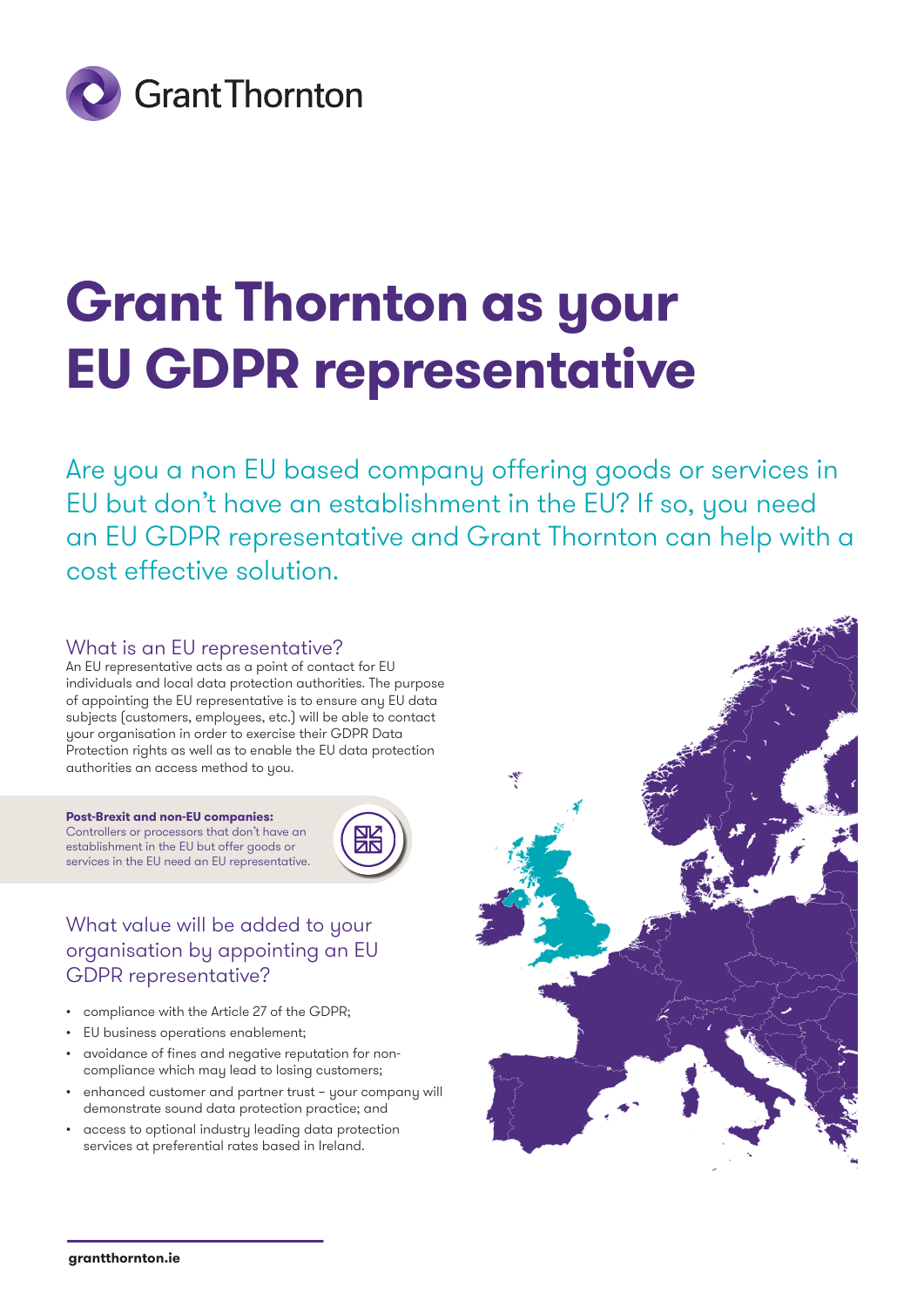

# **Grant Thornton as your EU GDPR representative**

Are you a non EU based company offering goods or services in EU but don't have an establishment in the EU? If so, you need an EU GDPR representative and Grant Thornton can help with a cost effective solution.

#### What is an EU representative?

An EU representative acts as a point of contact for EU individuals and local data protection authorities. The purpose of appointing the EU representative is to ensure any EU data subjects (customers, employees, etc.) will be able to contact your organisation in order to exercise their GDPR Data Protection rights as well as to enable the EU data protection authorities an access method to you.

**Post-Brexit and non-EU companies:** Controllers or processors that don't have an establishment in the EU but offer goods or services in the EU need an EU representative.



### What value will be added to your organisation by appointing an EU GDPR representative?

- compliance with the Article 27 of the GDPR;
- EU business operations enablement;
- avoidance of fines and negative reputation for noncompliance which may lead to losing customers;
- enhanced customer and partner trust your company will demonstrate sound data protection practice; and
- access to optional industry leading data protection services at preferential rates based in Ireland.